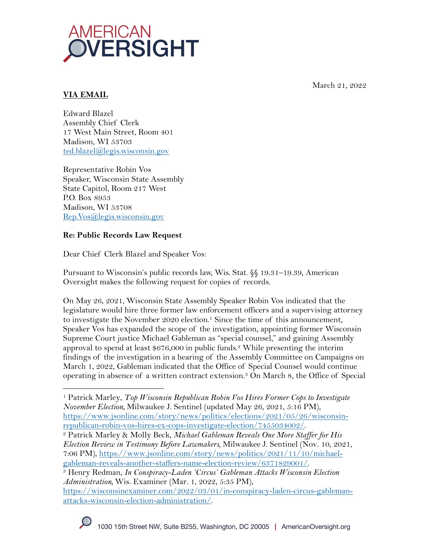

March 21, 2022

# **VIA EMAIL**

Edward Blazel Assembly Chief Clerk 17 West Main Street, Room 401 Madison, WI 53703 ted.blazel@legis.wisconsin.gov

Representative Robin Vos Speaker, Wisconsin State Assembly State Capitol, Room 217 West P.O. Box 8953 Madison, WI 53708 Rep.Vos@legis.wisconsin.gov

# **Re: Public Records Law Request**

Dear Chief Clerk Blazel and Speaker Vos:

Pursuant to Wisconsin's public records law, Wis. Stat. §§ 19.31–19.39, American Oversight makes the following request for copies of records.

On May 26, 2021, Wisconsin State Assembly Speaker Robin Vos indicated that the legislature would hire three former law enforcement officers and a supervising attorney to investigate the November 2020 election.<sup>1</sup> Since the time of this announcement, Speaker Vos has expanded the scope of the investigation, appointing former Wisconsin Supreme Court justice Michael Gableman as "special counsel," and gaining Assembly approval to spend at least  $$676,000$  in public funds.<sup>2</sup> While presenting the interim findings of the investigation in a hearing of the Assembly Committee on Campaigns on March 1, 2022, Gableman indicated that the Office of Special Counsel would continue operating in absence of a written contract extension.3 On March 8, the Office of Special

gableman-reveals-another-staffers-name-election-review/6371829001/. 3 Henry Redman, *In Conspiracy-Laden 'Circus' Gableman Attacks Wisconsin Election Administration,* Wis. Examiner (Mar. 1, 2022, 5:35 PM),

https://wisconsinexaminer.com/2022/03/01/in-conspiracy-laden-circus-gablemanattacks-wisconsin-election-administration/.

<sup>1</sup> Patrick Marley, *Top Wisconsin Republican Robin Vos Hires Former Cops to Investigate November Election,* Milwaukee J. Sentinel (updated May 26, 2021, 5:16 PM), https://www.jsonline.com/story/news/politics/elections/2021/05/26/wisconsin-

republican-robin-vos-hires-ex-cops-investigate-election/7455034002/. 2 Patrick Marley & Molly Beck, *Michael Gableman Reveals One More Staffer for His Election Review in Testimony Before Lawmakers,* Milwaukee J. Sentinel (Nov. 10, 2021, 7:06 PM), https://www.jsonline.com/story/news/politics/2021/11/10/michael-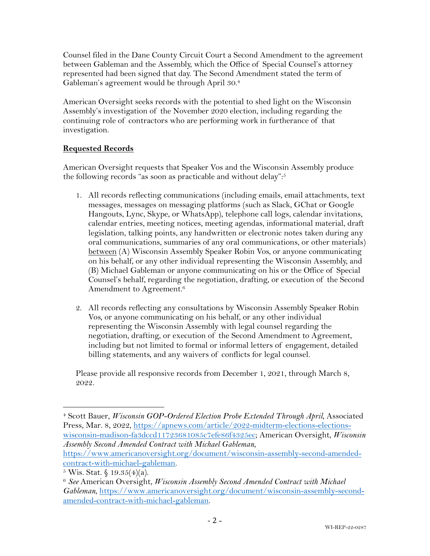Counsel filed in the Dane County Circuit Court a Second Amendment to the agreement between Gableman and the Assembly, which the Office of Special Counsel's attorney represented had been signed that day. The Second Amendment stated the term of Gableman's agreement would be through April 30.4

American Oversight seeks records with the potential to shed light on the Wisconsin Assembly's investigation of the November 2020 election, including regarding the continuing role of contractors who are performing work in furtherance of that investigation.

### **Requested Records**

American Oversight requests that Speaker Vos and the Wisconsin Assembly produce the following records "as soon as practicable and without delay":<sup>5</sup>

- 1. All records reflecting communications (including emails, email attachments, text messages, messages on messaging platforms (such as Slack, GChat or Google Hangouts, Lync, Skype, or WhatsApp), telephone call logs, calendar invitations, calendar entries, meeting notices, meeting agendas, informational material, draft legislation, talking points, any handwritten or electronic notes taken during any oral communications, summaries of any oral communications, or other materials) between (A) Wisconsin Assembly Speaker Robin Vos, or anyone communicating on his behalf, or any other individual representing the Wisconsin Assembly, and (B) Michael Gableman or anyone communicating on his or the Office of Special Counsel's behalf, regarding the negotiation, drafting, or execution of the Second Amendment to Agreement. 6
- 2. All records reflecting any consultations by Wisconsin Assembly Speaker Robin Vos, or anyone communicating on his behalf, or any other individual representing the Wisconsin Assembly with legal counsel regarding the negotiation, drafting, or execution of the Second Amendment to Agreement, including but not limited to formal or informal letters of engagement, detailed billing statements, and any waivers of conflicts for legal counsel.

Please provide all responsive records from December 1, 2021, through March 8, 2022.

https://www.americanoversight.org/document/wisconsin-assembly-second-amendedcontract-with-michael-gableman.

<sup>4</sup> Scott Bauer, *Wisconsin GOP-Ordered Election Probe Extended Through April*, Associated Press, Mar. 8, 2022, https://apnews.com/article/2022-midterm-elections-electionswisconsin-madison-fa3dccd11723681085c7efe86f4325ec; American Oversight, *Wisconsin Assembly Second Amended Contract with Michael Gableman*,

 $5$  Wis. Stat.  $\frac{6}{9}$  19.35(4)(a).

<sup>6</sup> *See* American Oversight, *Wisconsin Assembly Second Amended Contract with Michael Gableman*, https://www.americanoversight.org/document/wisconsin-assembly-secondamended-contract-with-michael-gableman.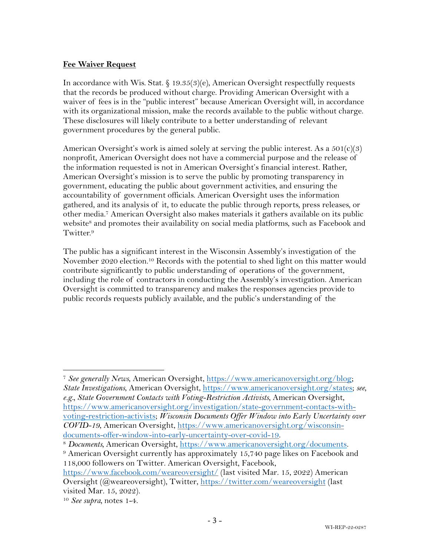#### **Fee Waiver Request**

In accordance with Wis. Stat. § 19.35(3)(e), American Oversight respectfully requests that the records be produced without charge. Providing American Oversight with a waiver of fees is in the "public interest" because American Oversight will, in accordance with its organizational mission, make the records available to the public without charge. These disclosures will likely contribute to a better understanding of relevant government procedures by the general public.

American Oversight's work is aimed solely at serving the public interest. As a  $501(c)(3)$ nonprofit, American Oversight does not have a commercial purpose and the release of the information requested is not in American Oversight's financial interest. Rather, American Oversight's mission is to serve the public by promoting transparency in government, educating the public about government activities, and ensuring the accountability of government officials. American Oversight uses the information gathered, and its analysis of it, to educate the public through reports, press releases, or other media.7 American Oversight also makes materials it gathers available on its public website<sup>8</sup> and promotes their availability on social media platforms, such as Facebook and Twitter.9

The public has a significant interest in the Wisconsin Assembly's investigation of the November 2020 election.<sup>10</sup> Records with the potential to shed light on this matter would contribute significantly to public understanding of operations of the government, including the role of contractors in conducting the Assembly's investigation. American Oversight is committed to transparency and makes the responses agencies provide to public records requests publicly available, and the public's understanding of the

<sup>7</sup> *See generally News*, American Oversight, https://www.americanoversight.org/blog; *State Investigations*, American Oversight, https://www.americanoversight.org/states; *see, e.g., State Government Contacts with Voting-Restriction Activists*, American Oversight, https://www.americanoversight.org/investigation/state-government-contacts-withvoting-restriction-activists; *Wisconsin Documents Offer Window into Early Uncertainty over COVID-19*, American Oversight, https://www.americanoversight.org/wisconsindocuments-offer-window-into-early-uncertainty-over-covid-19.

<sup>8</sup> *Documents,* American Oversight, https://www.americanoversight.org/documents.

<sup>9</sup> American Oversight currently has approximately 15,740 page likes on Facebook and 118,000 followers on Twitter. American Oversight, Facebook,

https://www.facebook.com/weareoversight/ (last visited Mar. 15, 2022) American Oversight (@weareoversight), Twitter, https://twitter.com/weareoversight (last visited Mar. 15, 2022).

<sup>10</sup> *See supra,* notes 1-4.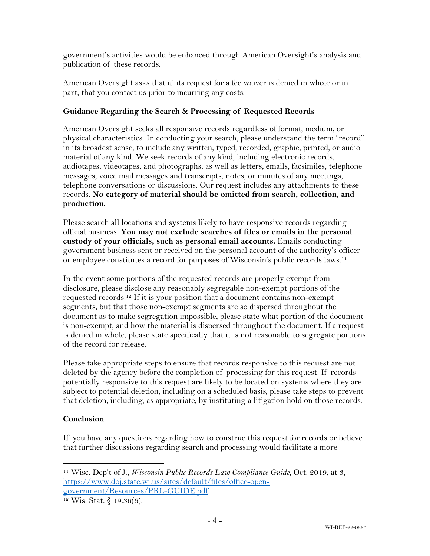government's activities would be enhanced through American Oversight's analysis and publication of these records.

American Oversight asks that if its request for a fee waiver is denied in whole or in part, that you contact us prior to incurring any costs.

### **Guidance Regarding the Search & Processing of Requested Records**

American Oversight seeks all responsive records regardless of format, medium, or physical characteristics. In conducting your search, please understand the term "record" in its broadest sense, to include any written, typed, recorded, graphic, printed, or audio material of any kind. We seek records of any kind, including electronic records, audiotapes, videotapes, and photographs, as well as letters, emails, facsimiles, telephone messages, voice mail messages and transcripts, notes, or minutes of any meetings, telephone conversations or discussions. Our request includes any attachments to these records. **No category of material should be omitted from search, collection, and production.**

Please search all locations and systems likely to have responsive records regarding official business. **You may not exclude searches of files or emails in the personal custody of your officials, such as personal email accounts.** Emails conducting government business sent or received on the personal account of the authority's officer or employee constitutes a record for purposes of Wisconsin's public records laws.11

In the event some portions of the requested records are properly exempt from disclosure, please disclose any reasonably segregable non-exempt portions of the requested records.12 If it is your position that a document contains non-exempt segments, but that those non-exempt segments are so dispersed throughout the document as to make segregation impossible, please state what portion of the document is non-exempt, and how the material is dispersed throughout the document. If a request is denied in whole, please state specifically that it is not reasonable to segregate portions of the record for release.

Please take appropriate steps to ensure that records responsive to this request are not deleted by the agency before the completion of processing for this request. If records potentially responsive to this request are likely to be located on systems where they are subject to potential deletion, including on a scheduled basis, please take steps to prevent that deletion, including, as appropriate, by instituting a litigation hold on those records.

## **Conclusion**

If you have any questions regarding how to construe this request for records or believe that further discussions regarding search and processing would facilitate a more

<sup>11</sup> Wisc. Dep't of J., *Wisconsin Public Records Law Compliance Guide*, Oct. 2019, at 3, https://www.doj.state.wi.us/sites/default/files/office-opengovernment/Resources/PRL-GUIDE.pdf.<br><sup>12</sup> Wis. Stat. § 19.36(6).